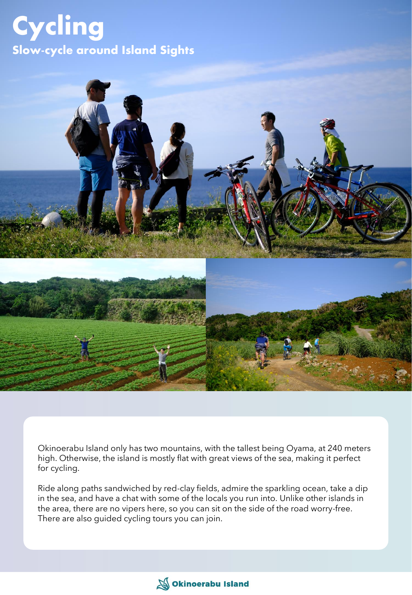## Cycling Slow-cycle around Island Sights



Okinoerabu Island only has two mountains, with the tallest being Oyama, at 240 meters high. Otherwise, the island is mostly flat with great views of the sea, making it perfect for cycling.

Ride along paths sandwiched by red-clay fields, admire the sparkling ocean, take a dip in the sea, and have a chat with some of the locals you run into. Unlike other islands in the area, there are no vipers here, so you can sit on the side of the road worry-free. There are also guided cycling tours you can join.